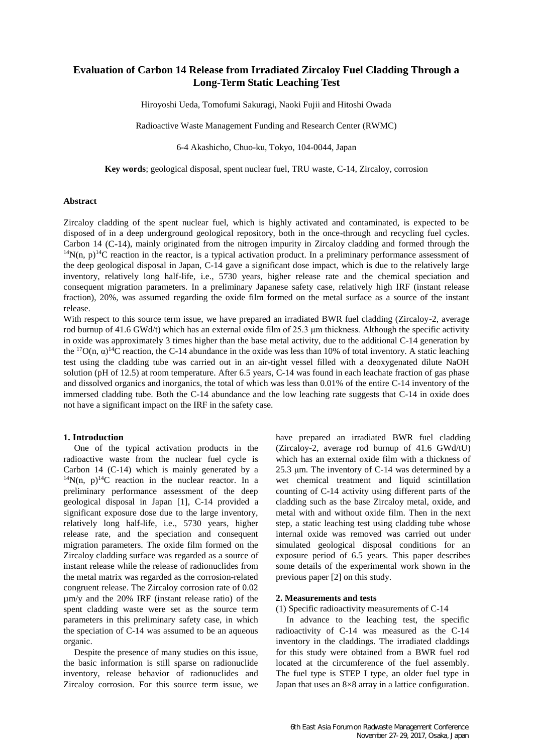# **Evaluation of Carbon 14 Release from Irradiated Zircaloy Fuel Cladding Through a Long-Term Static Leaching Test**

Hiroyoshi Ueda, Tomofumi Sakuragi, Naoki Fujii and Hitoshi Owada

Radioactive Waste Management Funding and Research Center (RWMC)

6-4 Akashicho, Chuo-ku, Tokyo, 104-0044, Japan

**Key words**; geological disposal, spent nuclear fuel, TRU waste, C-14, Zircaloy, corrosion

### **Abstract**

Zircaloy cladding of the spent nuclear fuel, which is highly activated and contaminated, is expected to be disposed of in a deep underground geological repository, both in the once-through and recycling fuel cycles. Carbon 14 (C-14), mainly originated from the nitrogen impurity in Zircaloy cladding and formed through the  $14N(n, p)^{14}C$  reaction in the reactor, is a typical activation product. In a preliminary performance assessment of the deep geological disposal in Japan, C-14 gave a significant dose impact, which is due to the relatively large inventory, relatively long half-life, i.e., 5730 years, higher release rate and the chemical speciation and consequent migration parameters. In a preliminary Japanese safety case, relatively high IRF (instant release fraction), 20%, was assumed regarding the oxide film formed on the metal surface as a source of the instant release.

With respect to this source term issue, we have prepared an irradiated BWR fuel cladding (Zircaloy-2, average rod burnup of 41.6 GWd/t) which has an external oxide film of 25.3 μm thickness. Although the specific activity in oxide was approximately 3 times higher than the base metal activity, due to the additional C-14 generation by the <sup>17</sup>O(n,  $\alpha$ )<sup>14</sup>C reaction, the C-14 abundance in the oxide was less than 10% of total inventory. A static leaching test using the cladding tube was carried out in an air-tight vessel filled with a deoxygenated dilute NaOH solution (pH of 12.5) at room temperature. After 6.5 years, C-14 was found in each leachate fraction of gas phase and dissolved organics and inorganics, the total of which was less than 0.01% of the entire C-14 inventory of the immersed cladding tube. Both the C-14 abundance and the low leaching rate suggests that C-14 in oxide does not have a significant impact on the IRF in the safety case.

### **1. Introduction**

One of the typical activation products in the radioactive waste from the nuclear fuel cycle is Carbon 14 (C-14) which is mainly generated by a  $14N(n, p)$ <sup>14</sup>C reaction in the nuclear reactor. In a preliminary performance assessment of the deep geological disposal in Japan [1], C-14 provided a significant exposure dose due to the large inventory, relatively long half-life, i.e., 5730 years, higher release rate, and the speciation and consequent migration parameters. The oxide film formed on the Zircaloy cladding surface was regarded as a source of instant release while the release of radionuclides from the metal matrix was regarded as the corrosion-related congruent release. The Zircaloy corrosion rate of 0.02 µm/y and the 20% IRF (instant release ratio) of the spent cladding waste were set as the source term parameters in this preliminary safety case, in which the speciation of C-14 was assumed to be an aqueous organic.

Despite the presence of many studies on this issue, the basic information is still sparse on radionuclide inventory, release behavior of radionuclides and Zircaloy corrosion. For this source term issue, we have prepared an irradiated BWR fuel cladding (Zircaloy-2, average rod burnup of 41.6 GWd/tU) which has an external oxide film with a thickness of 25.3 μm. The inventory of C-14 was determined by a wet chemical treatment and liquid scintillation counting of C-14 activity using different parts of the cladding such as the base Zircaloy metal, oxide, and metal with and without oxide film. Then in the next step, a static leaching test using cladding tube whose internal oxide was removed was carried out under simulated geological disposal conditions for an exposure period of 6.5 years. This paper describes some details of the experimental work shown in the previous paper [2] on this study.

### **2. Measurements and tests**

(1) Specific radioactivity measurements of C-14

In advance to the leaching test, the specific radioactivity of C-14 was measured as the C-14 inventory in the claddings. The irradiated claddings for this study were obtained from a BWR fuel rod located at the circumference of the fuel assembly. The fuel type is STEP I type, an older fuel type in Japan that uses an 8×8 array in a lattice configuration.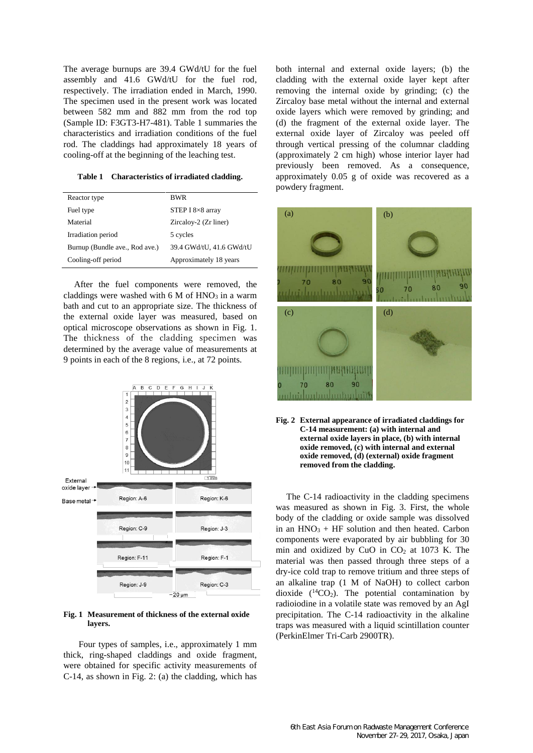The average burnups are 39.4 GWd/tU for the fuel assembly and 41.6 GWd/tU for the fuel rod, respectively. The irradiation ended in March, 1990. The specimen used in the present work was located between 582 mm and 882 mm from the rod top (Sample ID: F3GT3-H7-481). Table 1 summaries the characteristics and irradiation conditions of the fuel rod. The claddings had approximately 18 years of cooling-off at the beginning of the leaching test.

**Table 1 Characteristics of irradiated cladding.**

| <b>BWR</b>               |
|--------------------------|
| STEP I $8\times 8$ array |
| Zircaloy-2 (Zr liner)    |
| 5 cycles                 |
| 39.4 GWd/tU, 41.6 GWd/tU |
| Approximately 18 years   |
|                          |

After the fuel components were removed, the claddings were washed with  $6 M of HNO<sub>3</sub>$  in a warm bath and cut to an appropriate size. The thickness of the external oxide layer was measured, based on optical microscope observations as shown in Fig. 1. The thickness of the cladding specimen was determined by the average value of measurements at 9 points in each of the 8 regions, i.e., at 72 points.



#### **Fig. 1 Measurement of thickness of the external oxide layers.**

Four types of samples, i.e., approximately 1 mm thick, ring-shaped claddings and oxide fragment, were obtained for specific activity measurements of C-14, as shown in Fig. 2: (a) the cladding, which has both internal and external oxide layers; (b) the cladding with the external oxide layer kept after removing the internal oxide by grinding; (c) the Zircaloy base metal without the internal and external oxide layers which were removed by grinding; and (d) the fragment of the external oxide layer. The external oxide layer of Zircaloy was peeled off through vertical pressing of the columnar cladding (approximately 2 cm high) whose interior layer had previously been removed. As a consequence, approximately 0.05 g of oxide was recovered as a powdery fragment.





The C-14 radioactivity in the cladding specimens was measured as shown in Fig. 3. First, the whole body of the cladding or oxide sample was dissolved in an  $HNO<sub>3</sub> + HF$  solution and then heated. Carbon components were evaporated by air bubbling for 30 min and oxidized by CuO in  $CO<sub>2</sub>$  at 1073 K. The material was then passed through three steps of a dry-ice cold trap to remove tritium and three steps of an alkaline trap (1 M of NaOH) to collect carbon dioxide  $(^{14}CO<sub>2</sub>)$ . The potential contamination by radioiodine in a volatile state was removed by an AgI precipitation. The C-14 radioactivity in the alkaline traps was measured with a liquid scintillation counter (PerkinElmer Tri-Carb 2900TR).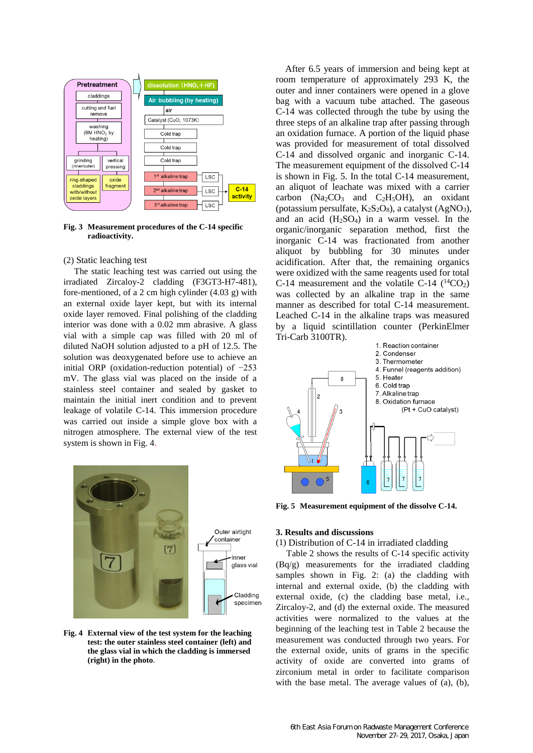

**Fig. 3 Measurement procedures of the C-14 specific radioactivity.**

### (2) Static leaching test

The static leaching test was carried out using the irradiated Zircaloy-2 cladding (F3GT3-H7-481), fore-mentioned, of a 2 cm high cylinder (4.03 g) with an external oxide layer kept, but with its internal oxide layer removed. Final polishing of the cladding interior was done with a 0.02 mm abrasive. A glass vial with a simple cap was filled with 20 ml of diluted NaOH solution adjusted to a pH of 12.5. The solution was deoxygenated before use to achieve an initial ORP (oxidation-reduction potential) of −253 mV. The glass vial was placed on the inside of a stainless steel container and sealed by gasket to maintain the initial inert condition and to prevent leakage of volatile C-14. This immersion procedure was carried out inside a simple glove box with a nitrogen atmosphere. The external view of the test system is shown in Fig. 4.



**Fig. 4 External view of the test system for the leaching test: the outer stainless steel container (left) and the glass vial in which the cladding is immersed (right) in the photo**.

After 6.5 years of immersion and being kept at room temperature of approximately 293 K, the outer and inner containers were opened in a glove bag with a vacuum tube attached. The gaseous C-14 was collected through the tube by using the three steps of an alkaline trap after passing through an oxidation furnace. A portion of the liquid phase was provided for measurement of total dissolved C-14 and dissolved organic and inorganic C-14. The measurement equipment of the dissolved C-14 is shown in Fig. 5. In the total C-14 measurement, an aliquot of leachate was mixed with a carrier carbon  $(Na_2CO_3$  and  $C_2H_5OH$ , an oxidant (potassium persulfate,  $K_2S_2O_8$ ), a catalyst (AgNO<sub>3</sub>), and an acid (H2SO4) in a warm vessel. In the organic/inorganic separation method, first the inorganic C-14 was fractionated from another aliquot by bubbling for 30 minutes under acidification. After that, the remaining organics were oxidized with the same reagents used for total C-14 measurement and the volatile C-14  $(^{14}CO<sub>2</sub>)$ was collected by an alkaline trap in the same manner as described for total C-14 measurement. Leached C-14 in the alkaline traps was measured by a liquid scintillation counter (PerkinElmer Tri-Carb 3100TR).



**Fig. 5 Measurement equipment of the dissolve C-14.**

# **3. Results and discussions**

# (1) Distribution of C-14 in irradiated cladding

Table 2 shows the results of C-14 specific activity (Bq/g) measurements for the irradiated cladding samples shown in Fig. 2: (a) the cladding with internal and external oxide, (b) the cladding with external oxide, (c) the cladding base metal, i.e., Zircaloy-2, and (d) the external oxide. The measured activities were normalized to the values at the beginning of the leaching test in Table 2 because the measurement was conducted through two years. For the external oxide, units of grams in the specific activity of oxide are converted into grams of zirconium metal in order to facilitate comparison with the base metal. The average values of (a), (b),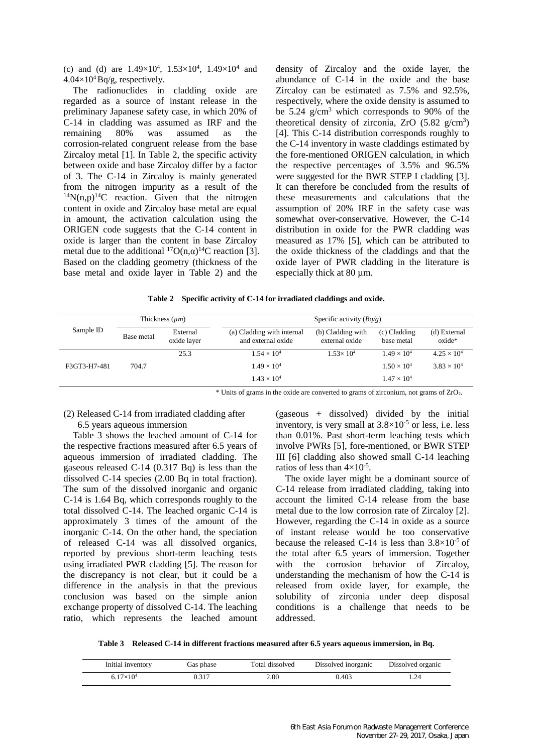(c) and (d) are  $1.49 \times 10^4$ ,  $1.53 \times 10^4$ ,  $1.49 \times 10^4$  and  $4.04\times10^4$  Bq/g, respectively.

The radionuclides in cladding oxide are regarded as a source of instant release in the preliminary Japanese safety case, in which 20% of C-14 in cladding was assumed as IRF and the remaining 80% was assumed as the remaining 80% was assumed as the corrosion-related congruent release from the base Zircaloy metal [1]. In Table 2, the specific activity between oxide and base Zircaloy differ by a factor of 3. The C-14 in Zircaloy is mainly generated from the nitrogen impurity as a result of the  $^{14}N(n,p)^{14}C$  reaction. Given that the nitrogen content in oxide and Zircaloy base metal are equal in amount, the activation calculation using the ORIGEN code suggests that the C-14 content in oxide is larger than the content in base Zircaloy metal due to the additional  ${}^{17}O(n,\alpha){}^{14}C$  reaction [3]. Based on the cladding geometry (thickness of the base metal and oxide layer in Table 2) and the

density of Zircaloy and the oxide layer, the abundance of C-14 in the oxide and the base Zircaloy can be estimated as 7.5% and 92.5%, respectively, where the oxide density is assumed to be  $5.24$  g/cm<sup>3</sup> which corresponds to 90% of the theoretical density of zirconia,  $ZrO$  (5.82  $g/cm<sup>3</sup>$ ) [4]. This C-14 distribution corresponds roughly to the C-14 inventory in waste claddings estimated by the fore-mentioned ORIGEN calculation, in which the respective percentages of 3.5% and 96.5% were suggested for the BWR STEP I cladding [3]. It can therefore be concluded from the results of these measurements and calculations that the assumption of 20% IRF in the safety case was somewhat over-conservative. However, the C-14 distribution in oxide for the PWR cladding was measured as 17% [5], which can be attributed to the oxide thickness of the claddings and that the oxide layer of PWR cladding in the literature is especially thick at 80 µm.

|  |  |  | Table 2 Specific activity of C-14 for irradiated claddings and oxide. |  |
|--|--|--|-----------------------------------------------------------------------|--|
|--|--|--|-----------------------------------------------------------------------|--|

|              | Thickness $(\mu m)$ |                         | Specific activity $(Bq/g)$                       |                                     |                            |                              |
|--------------|---------------------|-------------------------|--------------------------------------------------|-------------------------------------|----------------------------|------------------------------|
| Sample ID    | Base metal          | External<br>oxide layer | (a) Cladding with internal<br>and external oxide | (b) Cladding with<br>external oxide | (c) Cladding<br>base metal | (d) External<br>$o$ xide $*$ |
|              |                     | 25.3                    | $1.54 \times 10^{4}$                             | $1.53 \times 10^{4}$                | $1.49 \times 10^{4}$       | $4.25 \times 10^{4}$         |
| F3GT3-H7-481 | 704.7               |                         | $1.49 \times 10^{4}$                             |                                     | $1.50 \times 10^{4}$       | $3.83 \times 10^{4}$         |
|              |                     |                         | $1.43 \times 10^{4}$                             |                                     | $1.47 \times 10^{4}$       |                              |

\* Units of grams in the oxide are converted to grams of zirconium, not grams of ZrO2.

### (2) Released C-14 from irradiated cladding after 6.5 years aqueous immersion

Table 3 shows the leached amount of C-14 for the respective fractions measured after 6.5 years of aqueous immersion of irradiated cladding. The gaseous released C-14 (0.317 Bq) is less than the dissolved C-14 species (2.00 Bq in total fraction). The sum of the dissolved inorganic and organic C-14 is 1.64 Bq, which corresponds roughly to the total dissolved C-14. The leached organic C-14 is approximately 3 times of the amount of the inorganic C-14. On the other hand, the speciation of released C-14 was all dissolved organics, reported by previous short-term leaching tests using irradiated PWR cladding [5]. The reason for the discrepancy is not clear, but it could be a difference in the analysis in that the previous conclusion was based on the simple anion exchange property of dissolved C-14. The leaching ratio, which represents the leached amount

(gaseous + dissolved) divided by the initial inventory, is very small at  $3.8 \times 10^{-5}$  or less, i.e. less than 0.01%. Past short-term leaching tests which involve PWRs [5], fore-mentioned, or BWR STEP III [6] cladding also showed small C-14 leaching ratios of less than  $4\times10^{-5}$ .

The oxide layer might be a dominant source of C-14 release from irradiated cladding, taking into account the limited C-14 release from the base metal due to the low corrosion rate of Zircaloy [2]. However, regarding the C-14 in oxide as a source of instant release would be too conservative because the released C-14 is less than  $3.8 \times 10^{-5}$  of the total after 6.5 years of immersion. Together with the corrosion behavior of Zircaloy, understanding the mechanism of how the C-14 is released from oxide layer, for example, the solubility of zirconia under deep disposal conditions is a challenge that needs to be addressed.

**Table 3 Released C-14 in different fractions measured after 6.5 years aqueous immersion, in Bq.**

| Initial inventory | Gas phase | Total dissolved | Dissolved inorganic | Dissolved organic |
|-------------------|-----------|-----------------|---------------------|-------------------|
| $17\times10^{4}$  | 317-      | 2.00            | 0.403               | .24               |